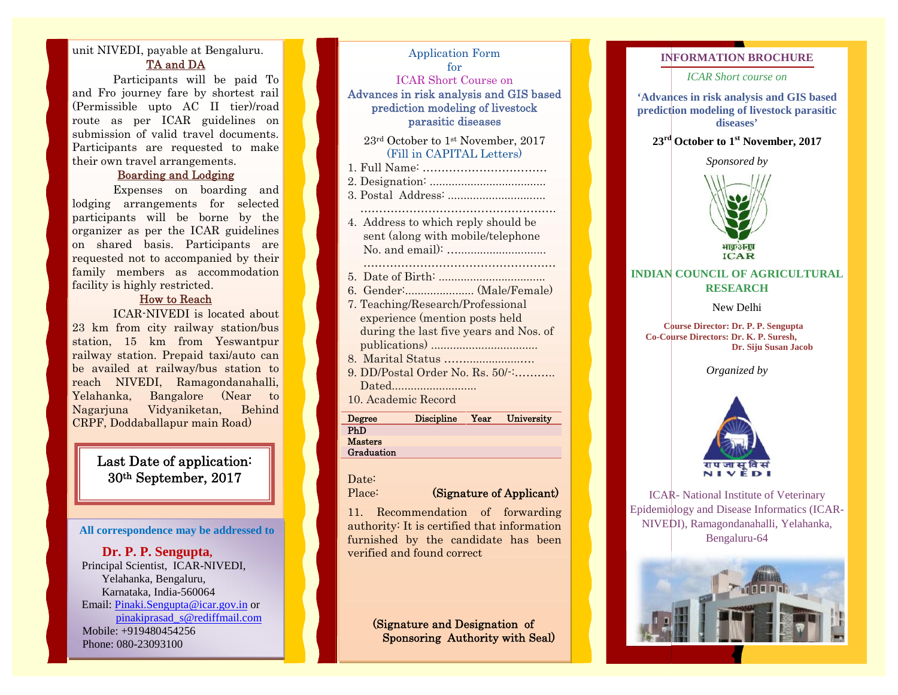## unit NIVEDI, payable at Bengaluru. **TA and DA**

Participants will be paid To and Fro journey fare by shortest rail (Permissible upto AC II tier)/road route as per ICAR guidelines on submission of valid travel documents. Participants are requested to make their own travel arrangements.

### **Boarding and Lodging**

Expenses on boarding and lodging arrangements for selected participants will be borne by the organizer as per the ICAR guidelines on shared basis. Participants are requested not to accompanied by their family members as accommodation facility is highly restricted.

#### **How to Reach**

ICAR-NIVEDI is located about 23 km from city railway station/bus station, 15 km from Yeswantpur railway station. Prepaid taxi/auto can railway station. Prepaid taxi/auto can reach NIVEDI, Ramagondanahalli, Yelahanka, Bangalore (Near to Nagarjuna Vidyaniketan, Behind CRPF, Doddaballapur main Road) **Susan** ICAR-Bengaluru-64.Tojourney uptoof valid travel documents.are **Boarding** on lodging borne as ICAR Participants The man Did be pair and the ship of the state of the state of the state of the state of the state of the state of the state of the state of the state of the state of the state of the state of the state of the state of the

## **Last Date of application: 30th September, 2017**

#### **All correspondence may be addressed to**

**Dr. P. P. Sengupta, P.** Principal Scientist, ICAR-NIVEDI, Yelahanka, Bengaluru, Bengaluru,Karnataka, India-560064 Email: Pinaki.Sengupta@icar.gov.in or pinakiprasad\_s@rediffmail.com Mobile: +919480454256 Phone: 080-23093100 th September, 2017<br>
<br> **th September, 2017**<br>
Place: (Signat<br>
Place: (Signat<br>
place: (Signat<br>
place: (Signat<br>
place: (Signat<br>
place: (Signat<br>
place: (Signat<br>
place: (Signat<br>
place: (Signat<br>
place: (Signat<br>
place: (Signat<br>
pl

#### Application Form for

ICAR Short Course on

**Advances in risk analysis and GIS based prediction modeling of livestock parasitic diseases**

> $23<sup>rd</sup> October to 1<sup>st</sup> November, 2017$ (Fill in CAPITAL Letters)

- 1. Full Name: …………………………… 2. Designation: ..................................... 3. Postal Address: ............................... ……………………………………………. 4. Address to which reply should be sent (along with mobile/telephone Letters)1. Name: ……………………………2.3.4. Address to
- No. and email): …............................ ……………………………………………
- 5. Date of Birth: ..................................
- 6. Gender:...................... (Male/Female) 7. Teaching/Research/Professional
- experience (mention posts held during the last five years and Nos. of publications) .................................. 8. Marital Status …….................…. 5. 6. 7. Teaching/Research/Professionalyears and Nos. 8. 9. 10.
- 
- 9. DD/Postal Order No. Rs. 50/-:……….. Dated........................... 10. Academic Record

| Degree         | <b>Discipline</b> | Year | University |
|----------------|-------------------|------|------------|
| PhD            |                   |      |            |
| <b>Masters</b> |                   |      |            |
| Graduation     |                   |      |            |

# Date:

#### Place: **(Signature of Applicant)**

11. Recommendation of forwarding authority: It is certified that information furnished by the candidate has been verified and found correct Date:<br>Place: **(Signature of Applicant)**<br>11. Recommendation of forwarding<br>authority: It is certified that information<br>furnished by the candidate has been<br>verified and found correct

**(Signature and Designation of Sponsoring Authority with Seal)**

### **INFORMATION BROCHURE**

*ICAR Short course on*

**'Advances in risk analysis and GIS based prediction modeling of livestock parasitic diseases'**

## **23rd October to 1st November, 2017**

*Sponsored by*



## **INDIAN COUNCIL OF AGRICULTURAL RESEARCH**

New Delhi New Delhi

**Course Director: Dr. P. P. Sengupta P. P. Co-Course Directors: Dr. K. P. Suresh, Dr. Siju Susan Jacob**

*Organized by*



ICAR- National Institute of Veterinary Epidemiology and Disease Informatics (ICAR- NIVEDI), Ramagondanahalli, Yelahanka, Bengaluru-64